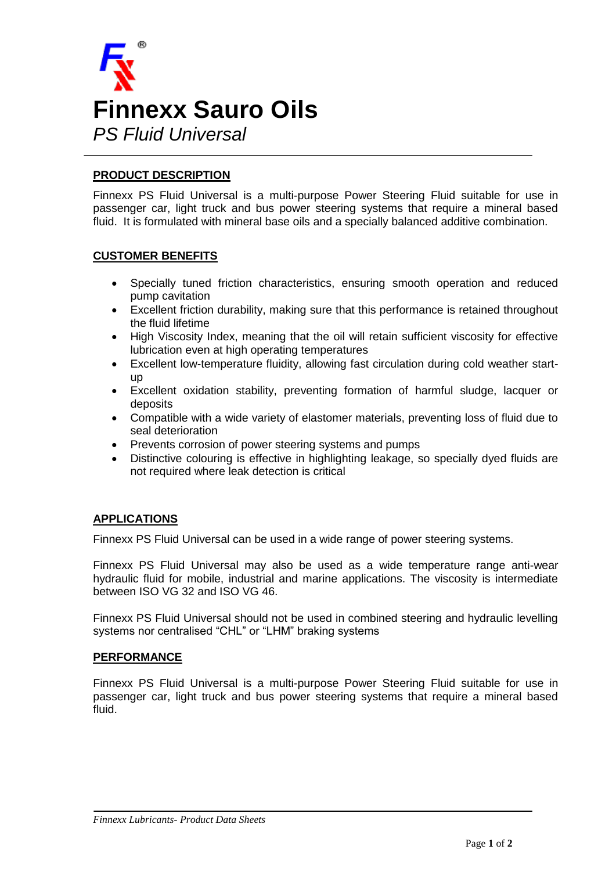

## **PRODUCT DESCRIPTION**

Finnexx PS Fluid Universal is a multi-purpose Power Steering Fluid suitable for use in passenger car, light truck and bus power steering systems that require a mineral based fluid. It is formulated with mineral base oils and a specially balanced additive combination.

### **CUSTOMER BENEFITS**

- Specially tuned friction characteristics, ensuring smooth operation and reduced pump cavitation
- Excellent friction durability, making sure that this performance is retained throughout the fluid lifetime
- High Viscosity Index, meaning that the oil will retain sufficient viscosity for effective lubrication even at high operating temperatures
- Excellent low-temperature fluidity, allowing fast circulation during cold weather startup
- Excellent oxidation stability, preventing formation of harmful sludge, lacquer or deposits
- Compatible with a wide variety of elastomer materials, preventing loss of fluid due to seal deterioration
- Prevents corrosion of power steering systems and pumps
- Distinctive colouring is effective in highlighting leakage, so specially dyed fluids are not required where leak detection is critical

## **APPLICATIONS**

Finnexx PS Fluid Universal can be used in a wide range of power steering systems.

Finnexx PS Fluid Universal may also be used as a wide temperature range anti-wear hydraulic fluid for mobile, industrial and marine applications. The viscosity is intermediate between ISO VG 32 and ISO VG 46.

Finnexx PS Fluid Universal should not be used in combined steering and hydraulic levelling systems nor centralised "CHL" or "LHM" braking systems

### **PERFORMANCE**

Finnexx PS Fluid Universal is a multi-purpose Power Steering Fluid suitable for use in passenger car, light truck and bus power steering systems that require a mineral based fluid.